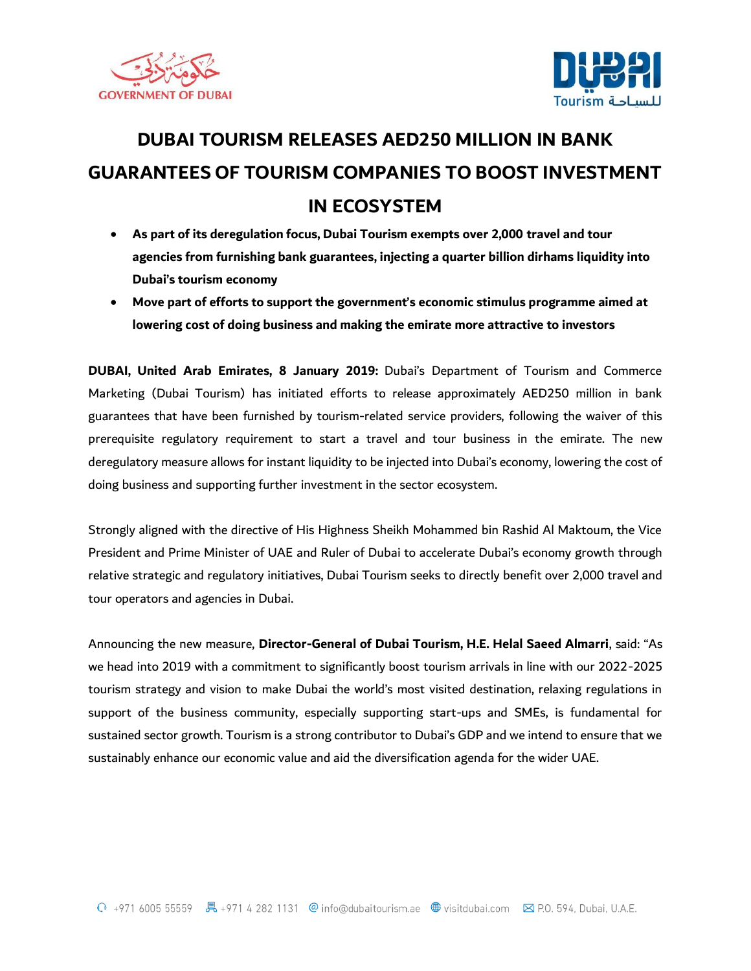



## **DUBAI TOURISM RELEASES AED250 MILLION IN BANK GUARANTEES OF TOURISM COMPANIES TO BOOST INVESTMENT IN ECOSYSTEM**

- **As part of its deregulation focus, Dubai Tourism exempts over 2,000 travel and tour agencies from furnishing bank guarantees, injecting a quarter billion dirhams liquidity into Dubai's tourism economy**
- **Move part of efforts to support the government's economic stimulus programme aimed at lowering cost of doing business and making the emirate more attractive to investors**

**DUBAI, United Arab Emirates, 8 January 2019:** Dubai's Department of Tourism and Commerce Marketing (Dubai Tourism) has initiated efforts to release approximately AED250 million in bank guarantees that have been furnished by tourism-related service providers, following the waiver of this prerequisite regulatory requirement to start a travel and tour business in the emirate. The new deregulatory measure allows for instant liquidity to be injected into Dubai's economy, lowering the cost of doing business and supporting further investment in the sector ecosystem.

Strongly aligned with the directive of His Highness Sheikh Mohammed bin Rashid Al Maktoum, the Vice President and Prime Minister of UAE and Ruler of Dubai to accelerate Dubai's economy growth through relative strategic and regulatory initiatives, Dubai Tourism seeks to directly benefit over 2,000 travel and tour operators and agencies in Dubai.

Announcing the new measure, **Director-General of Dubai Tourism, H.E. Helal Saeed Almarri**, said: "As we head into 2019 with a commitment to significantly boost tourism arrivals in line with our 2022-2025 tourism strategy and vision to make Dubai the world's most visited destination, relaxing regulations in support of the business community, especially supporting start-ups and SMEs, is fundamental for sustained sector growth. Tourism is a strong contributor to Dubai's GDP and we intend to ensure that we sustainably enhance our economic value and aid the diversification agenda for the wider UAE.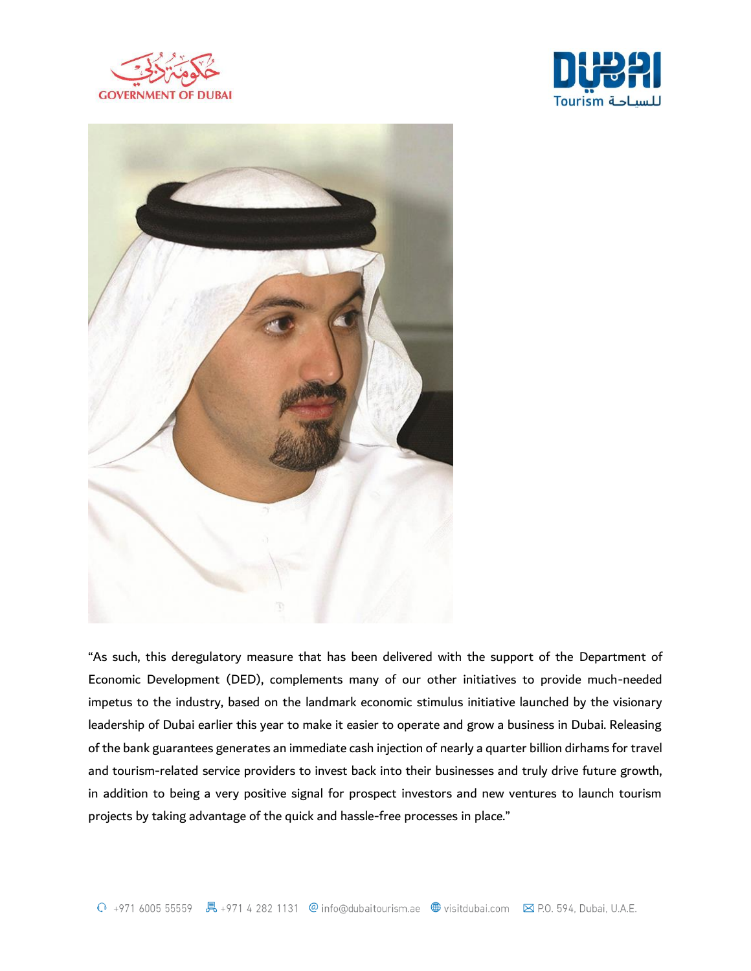





"As such, this deregulatory measure that has been delivered with the support of the Department of Economic Development (DED), complements many of our other initiatives to provide much-needed impetus to the industry, based on the landmark economic stimulus initiative launched by the visionary leadership of Dubai earlier this year to make it easier to operate and grow a business in Dubai. Releasing of the bank guarantees generates an immediate cash injection of nearly a quarter billion dirhams for travel and tourism-related service providers to invest back into their businesses and truly drive future growth, in addition to being a very positive signal for prospect investors and new ventures to launch tourism projects by taking advantage of the quick and hassle-free processes in place."